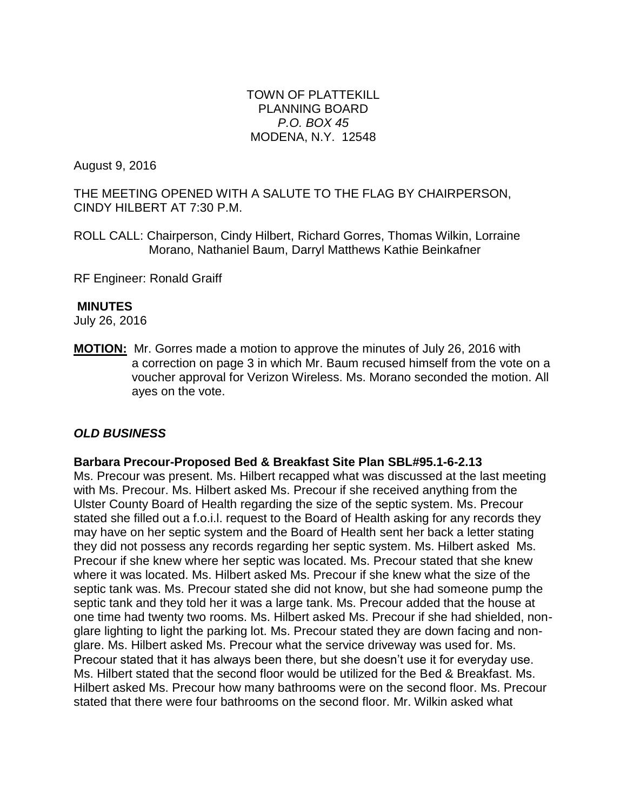#### TOWN OF PLATTEKILL PLANNING BOARD *P.O. BOX 45* MODENA, N.Y. 12548

August 9, 2016

THE MEETING OPENED WITH A SALUTE TO THE FLAG BY CHAIRPERSON, CINDY HILBERT AT 7:30 P.M.

ROLL CALL: Chairperson, Cindy Hilbert, Richard Gorres, Thomas Wilkin, Lorraine Morano, Nathaniel Baum, Darryl Matthews Kathie Beinkafner

RF Engineer: Ronald Graiff

## **MINUTES**

July 26, 2016

**MOTION:** Mr. Gorres made a motion to approve the minutes of July 26, 2016 with a correction on page 3 in which Mr. Baum recused himself from the vote on a voucher approval for Verizon Wireless. Ms. Morano seconded the motion. All ayes on the vote.

## *OLD BUSINESS*

#### **Barbara Precour-Proposed Bed & Breakfast Site Plan SBL#95.1-6-2.13**

Ms. Precour was present. Ms. Hilbert recapped what was discussed at the last meeting with Ms. Precour. Ms. Hilbert asked Ms. Precour if she received anything from the Ulster County Board of Health regarding the size of the septic system. Ms. Precour stated she filled out a f.o.i.l. request to the Board of Health asking for any records they may have on her septic system and the Board of Health sent her back a letter stating they did not possess any records regarding her septic system. Ms. Hilbert asked Ms. Precour if she knew where her septic was located. Ms. Precour stated that she knew where it was located. Ms. Hilbert asked Ms. Precour if she knew what the size of the septic tank was. Ms. Precour stated she did not know, but she had someone pump the septic tank and they told her it was a large tank. Ms. Precour added that the house at one time had twenty two rooms. Ms. Hilbert asked Ms. Precour if she had shielded, nonglare lighting to light the parking lot. Ms. Precour stated they are down facing and nonglare. Ms. Hilbert asked Ms. Precour what the service driveway was used for. Ms. Precour stated that it has always been there, but she doesn't use it for everyday use. Ms. Hilbert stated that the second floor would be utilized for the Bed & Breakfast. Ms. Hilbert asked Ms. Precour how many bathrooms were on the second floor. Ms. Precour stated that there were four bathrooms on the second floor. Mr. Wilkin asked what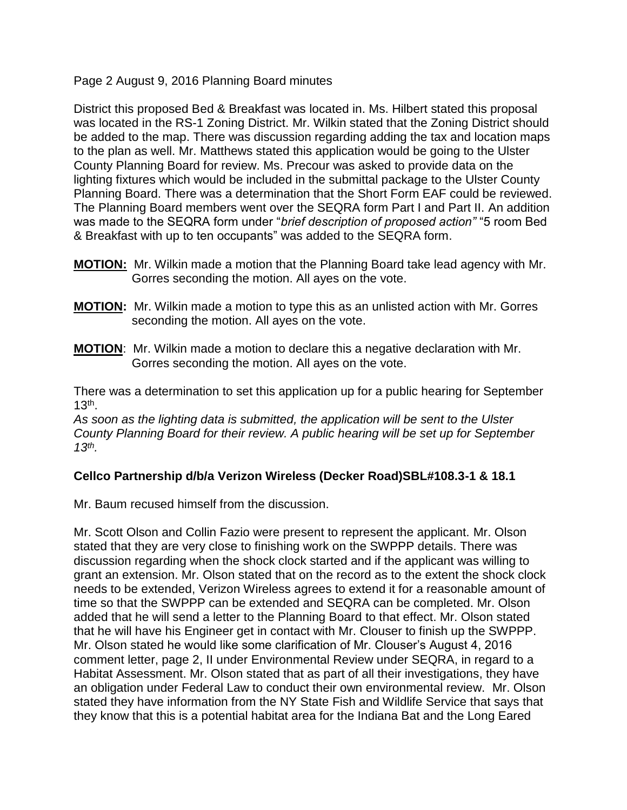Page 2 August 9, 2016 Planning Board minutes

District this proposed Bed & Breakfast was located in. Ms. Hilbert stated this proposal was located in the RS-1 Zoning District. Mr. Wilkin stated that the Zoning District should be added to the map. There was discussion regarding adding the tax and location maps to the plan as well. Mr. Matthews stated this application would be going to the Ulster County Planning Board for review. Ms. Precour was asked to provide data on the lighting fixtures which would be included in the submittal package to the Ulster County Planning Board. There was a determination that the Short Form EAF could be reviewed. The Planning Board members went over the SEQRA form Part I and Part II. An addition was made to the SEQRA form under "*brief description of proposed action"* "5 room Bed & Breakfast with up to ten occupants" was added to the SEQRA form.

- **MOTION:** Mr. Wilkin made a motion that the Planning Board take lead agency with Mr. Gorres seconding the motion. All ayes on the vote.
- **MOTION:** Mr. Wilkin made a motion to type this as an unlisted action with Mr. Gorres seconding the motion. All ayes on the vote.
- **MOTION**: Mr. Wilkin made a motion to declare this a negative declaration with Mr. Gorres seconding the motion. All ayes on the vote.

There was a determination to set this application up for a public hearing for September  $13<sup>th</sup>$ .

*As soon as the lighting data is submitted, the application will be sent to the Ulster County Planning Board for their review. A public hearing will be set up for September 13th .* 

## **Cellco Partnership d/b/a Verizon Wireless (Decker Road)SBL#108.3-1 & 18.1**

Mr. Baum recused himself from the discussion.

Mr. Scott Olson and Collin Fazio were present to represent the applicant. Mr. Olson stated that they are very close to finishing work on the SWPPP details. There was discussion regarding when the shock clock started and if the applicant was willing to grant an extension. Mr. Olson stated that on the record as to the extent the shock clock needs to be extended, Verizon Wireless agrees to extend it for a reasonable amount of time so that the SWPPP can be extended and SEQRA can be completed. Mr. Olson added that he will send a letter to the Planning Board to that effect. Mr. Olson stated that he will have his Engineer get in contact with Mr. Clouser to finish up the SWPPP. Mr. Olson stated he would like some clarification of Mr. Clouser's August 4, 2016 comment letter, page 2, II under Environmental Review under SEQRA, in regard to a Habitat Assessment. Mr. Olson stated that as part of all their investigations, they have an obligation under Federal Law to conduct their own environmental review. Mr. Olson stated they have information from the NY State Fish and Wildlife Service that says that they know that this is a potential habitat area for the Indiana Bat and the Long Eared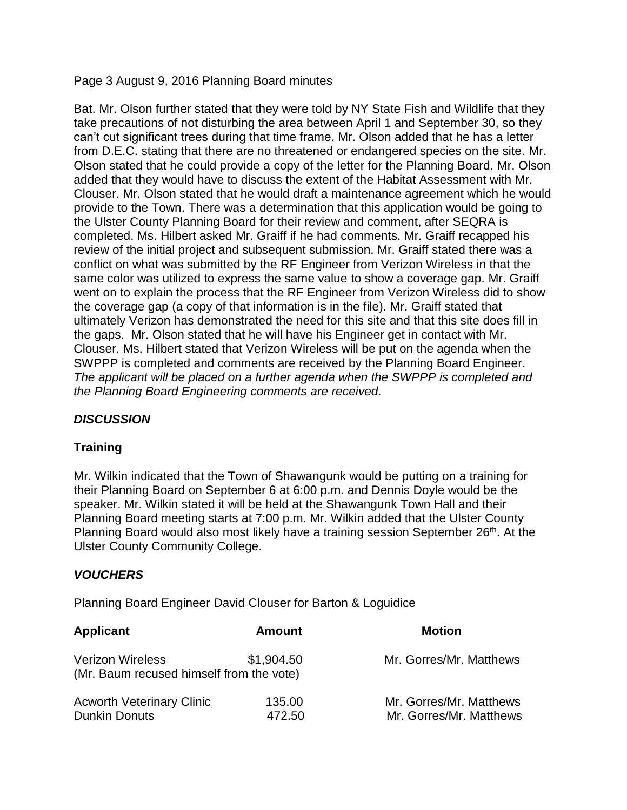Page 3 August 9, 2016 Planning Board minutes

Bat. Mr. Olson further stated that they were told by NY State Fish and Wildlife that they take precautions of not disturbing the area between April 1 and September 30, so they can't cut significant trees during that time frame. Mr. Olson added that he has a letter from D.E.C. stating that there are no threatened or endangered species on the site. Mr. Olson stated that he could provide a copy of the letter for the Planning Board. Mr. Olson added that they would have to discuss the extent of the Habitat Assessment with Mr. Clouser. Mr. Olson stated that he would draft a maintenance agreement which he would provide to the Town. There was a determination that this application would be going to the Ulster County Planning Board for their review and comment, after SEQRA is completed. Ms. Hilbert asked Mr. Graiff if he had comments. Mr. Graiff recapped his review of the initial project and subsequent submission. Mr. Graiff stated there was a conflict on what was submitted by the RF Engineer from Verizon Wireless in that the same color was utilized to express the same value to show a coverage gap. Mr. Graiff went on to explain the process that the RF Engineer from Verizon Wireless did to show the coverage gap (a copy of that information is in the file). Mr. Graiff stated that ultimately Verizon has demonstrated the need for this site and that this site does fill in the gaps. Mr. Olson stated that he will have his Engineer get in contact with Mr. Clouser. Ms. Hilbert stated that Verizon Wireless will be put on the agenda when the SWPPP is completed and comments are received by the Planning Board Engineer. *The applicant will be placed on a further agenda when the SWPPP is completed and the Planning Board Engineering comments are received.*

# *DISCUSSION*

## **Training**

Mr. Wilkin indicated that the Town of Shawangunk would be putting on a training for their Planning Board on September 6 at 6:00 p.m. and Dennis Doyle would be the speaker. Mr. Wilkin stated it will be held at the Shawangunk Town Hall and their Planning Board meeting starts at 7:00 p.m. Mr. Wilkin added that the Ulster County Planning Board would also most likely have a training session September 26<sup>th</sup>. At the Ulster County Community College.

## *VOUCHERS*

Planning Board Engineer David Clouser for Barton & Loguidice

| Applicant                                                           | <b>Amount</b>    | <b>Motion</b>                                      |
|---------------------------------------------------------------------|------------------|----------------------------------------------------|
| <b>Verizon Wireless</b><br>(Mr. Baum recused himself from the vote) | \$1,904.50       | Mr. Gorres/Mr. Matthews                            |
| <b>Acworth Veterinary Clinic</b><br><b>Dunkin Donuts</b>            | 135.00<br>472.50 | Mr. Gorres/Mr. Matthews<br>Mr. Gorres/Mr. Matthews |